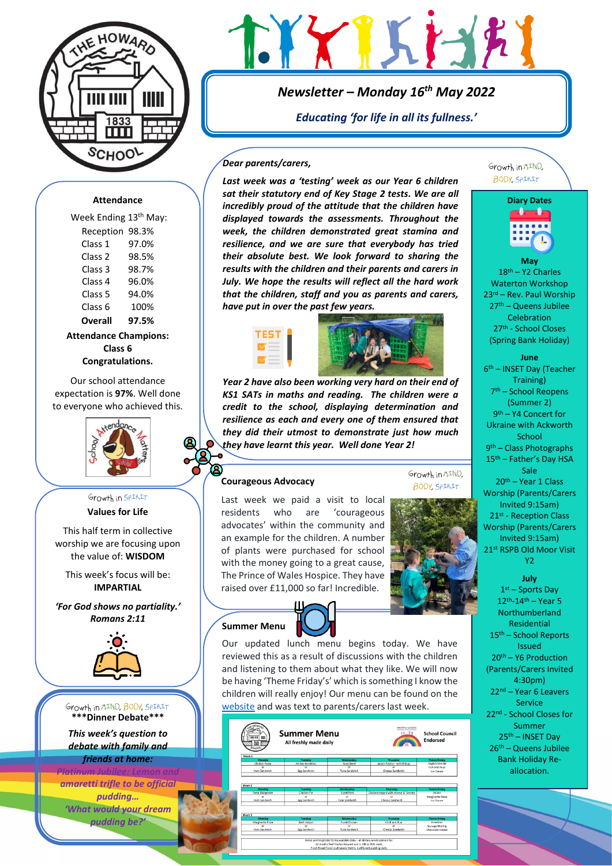

# XIKISK

*Newsletter – Monday 16th May 2022*

*Educating 'for life in all its fullness.'*

#### *Dear parents/carers,*

*Last week was a 'testing' week as our Year 6 children sat their statutory end of Key Stage 2 tests. We are all incredibly proud of the attitude that the children have displayed towards the assessments. Throughout the week, the children demonstrated great stamina and resilience, and we are sure that everybody has tried their absolute best. We look forward to sharing the results with the children and their parents and carers in July. We hope the results will reflect all the hard work that the children, staff and you as parents and carers, have put in over the past few years.*



*Year 2 have also been working very hard on their end of KS1 SATs in maths and reading. The children were a credit to the school, displaying determination and resilience as each and every one of them ensured that they did their utmost to demonstrate just how much they have learnt this year. Well done Year 2!*

## **Courageous Advocacy**

Last week we paid a visit to local residents who are 'courageous advocates' within the community and an example for the children. A number of plants were purchased for school with the money going to a great cause, The Prince of Wales Hospice. They have raised over £11,000 so far! Incredible.



Growth in MIND.

**Summer Menu**



Our updated lunch menu begins today. We have reviewed this as a result of discussions with the children and listening to them about what they like. We will now be having 'Theme Friday's' which is something I know the children will really enjoy! Our menu can be found on the [website](https://www.ackworthhowardschool.co.uk/sites/default/files/uploads/media/files/summer-2022.pptx__0.pdf) and was text to parents/carers last week.

| <b>HE 1110</b><br>m<br>SCHOOL                    | <b>Summer Menu</b><br>All freshly made daily               |                                                       | Henry of Pupil Leadership<br>benchmidter for a film field and<br>9.99<br><b>School Council</b><br><b>Endorsed</b> |                                                                        |
|--------------------------------------------------|------------------------------------------------------------|-------------------------------------------------------|-------------------------------------------------------------------------------------------------------------------|------------------------------------------------------------------------|
| Week 1                                           |                                                            |                                                       |                                                                                                                   |                                                                        |
| Monday                                           | Tuesday                                                    | Wednesday                                             | Thursday                                                                                                          | <b>Theme Friday</b>                                                    |
| <b>Chicken Pasta</b>                             | <b>All Day Breakfast</b>                                   | <b>Roast Beef</b>                                     | Jacket Potato - with fillings                                                                                     | <b>English Seaside</b>                                                 |
| or                                               | or                                                         | $\sim$                                                | œ                                                                                                                 | Fish and chips                                                         |
|                                                  | <b>Egg Sandwich</b>                                        | <b>Tuna Sandwich</b>                                  | <b>Cheese Sandwich</b>                                                                                            | Ice Cream                                                              |
| Ham Sandwich<br>Week 2                           |                                                            |                                                       |                                                                                                                   |                                                                        |
| Monday<br>Pasta Rolognaise<br>or<br>Ham Sandwich | Tuesday<br><b>Chicken</b> Pie<br>or<br><b>Egg Sandwich</b> | Wednesday<br><b>Roast Pork</b><br>or<br>Tuna Sandwich | Thursday<br>Chicken topped with cheese & Tomato<br>or<br><b>Cheese Sandwich</b>                                   | <b>Theme Friday</b><br>ttalian<br>Margherita Pasta<br><b>Ico Cream</b> |
| Week 3                                           |                                                            |                                                       |                                                                                                                   |                                                                        |
| Monday                                           | Tuesday                                                    | Wednesday                                             | Thursday                                                                                                          | <b>Theme Friday</b>                                                    |
| Margherita Pizza                                 | <b>Beef Hotpot</b>                                         | <b>Roast Chicken</b>                                  | Chilli and Rice                                                                                                   | American                                                               |
| $\alpha$                                         | or                                                         | <b>CV</b>                                             | w                                                                                                                 | <b>Sausage Hotdog</b>                                                  |

Growth in MIND. **BODY SPIRIT** 



**May** 18th – Y2 Charles Waterton Workshop 23rd – Rev. Paul Worship 27th – Queens Jubilee **Celebration** 27th - School Closes (Spring Bank Holiday)

**June**  6 th – INSET Day (Teacher Training) 7 th – School Reopens (Summer 2) 9 th – Y4 Concert for Ukraine with Ackworth **School** 9 th – Class Photographs 15<sup>th</sup> – Father's Day HSA Sale 20th – Year 1 Class Worship (Parents/Carers Invited 9:15am) 21<sup>st</sup> - Reception Class Worship (Parents/Carers Invited 9:15am) 21st RSPB Old Moor Visit Y<sub>2</sub>

> **July** 1 st – Sports Day  $12^{th} - 14^{th} -$  Year 5

Northumberland Residential 15th – School Reports Issued 20th – Y6 Production (Parents/Carers Invited 4:30pm) 22nd – Year 6 Leavers Service 22nd - School Closes for Summer 25th – INSET Day 26th – Queens Jubilee Bank Holiday Reallocation.

# **Attendance**

Week Ending 13<sup>th</sup> May: Reception 98.3% Class 1 97.0% Class 2 98.5% Class 3 98.7% Class 4 96.0% Class 5 94.0% Class 6 100% **Overall 97.5%**

**Attendance Champions: Class 6 Congratulations.**

Our school attendance expectation is **97%**. Well done to everyone who achieved this.



## Growth in SPIRIT **Values for Life**

This half term in collective worship we are focusing upon the value of: **WISDOM**

This week's focus will be: **IMPARTIAL**

*'For God shows no partiality.' Romans 2:11*



Growth in MIND. BODY, SPIRIT **\*\*\*Dinner Debate\*\*\***

*This week's question to debate with family and friends at home:* 

## *Platinum Jubilee: Lemon and*

*amaretti trifle to be official pudding… 'What would your dream pudding be?'*